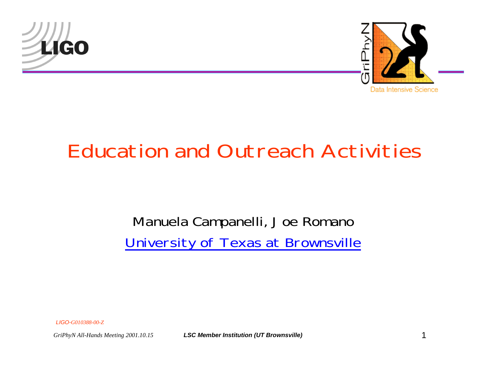



## Education and Outreach Activities

#### Manuela Campanelli, Joe Romano University of Texas at Brownsville

*LIGO-G010388-00-Z*

*GriPhyN All-Hands Meeting 2001.10.15 LSC Member Institution (UT Brownsville)* 1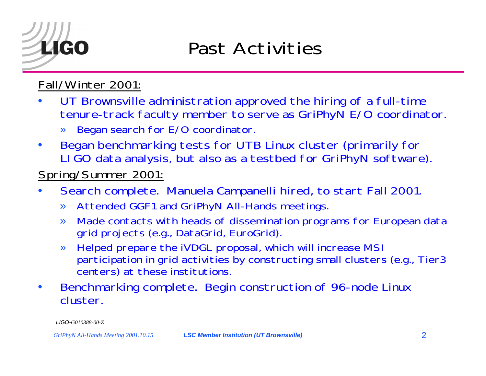### Past Activities

#### Fall/Winter 2001:

- • UT Brownsville administration approved the hiring of a full-time tenure-track faculty member to serve as GriPhyN E/O coordinator.
	- »Began search for E/O coordinator.
- • Began benchmarking tests for UTB Linux cluster (primarily for LIGO data analysis, but also as a testbed for GriPhyN software).

#### Spring/Summer 2001:

- • Search complete. Manuela Campanelli hired, to start Fall 2001.
	- »Attended GGF1 and GriPhyN All-Hands meetings.
	- » Made contacts with heads of dissemination programs for European data grid projects (e.g., DataGrid, EuroGrid).
	- » Helped prepare the iVDGL proposal, which will increase MSI participation in grid activities by constructing small clusters (e.g., Tier3 centers) at these institutions.
- • Benchmarking complete. Begin construction of 96-node Linux cluster.

*LIGO-G010388-00-Z*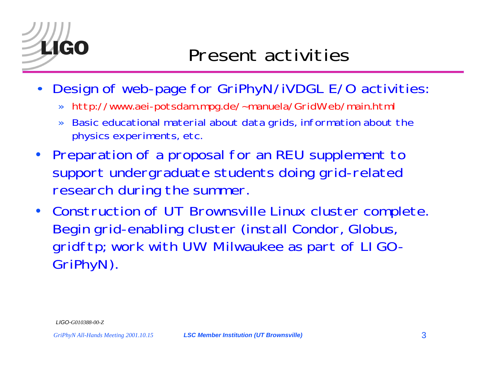### Present activities

- $\bullet$ Design of web-page for GriPhyN/iVDGL E/O activities:
	- »http://www.aei-potsdam.mpg.de/~manuela/GridWeb/main.html
	- » Basic educational material about data grids, information about the physics experiments, etc.
- Preparation of a proposal for an REU supplement to support undergraduate students doing grid-related research during the summer.
- Construction of UT Brownsville Linux cluster complete. Begin grid-enabling cluster (install Condor, Globus, gridftp; work with UW Milwaukee as part of LIGO-GriPhyN).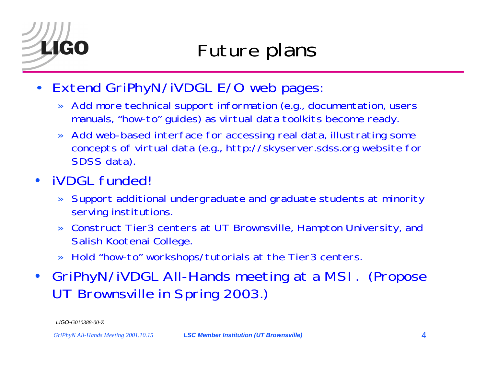- $\bullet$  Extend GriPhyN/iVDGL E/O web pages:
	- » Add more technical support information (e.g., documentation, users manuals, "how-to" guides) as virtual data toolkits become ready.
	- » Add web-based interface for accessing real data, illustrating some concepts of virtual data (e.g., http://skyserver.sdss.org website for SDSS data).
- • iVDGL funded!
	- » Support additional undergraduate and graduate students at minority serving institutions.
	- » Construct Tier3 centers at UT Brownsville, Hampton University, and Salish Kootenai College.
	- » Hold "how-to" workshops/tutorials at the Tier3 centers.
- GriPhyN/iVDGL All-Hands meeting at a MSI. (Propose UT Brownsville in Spring 2003.)

*LIGO-G010388-00-Z*